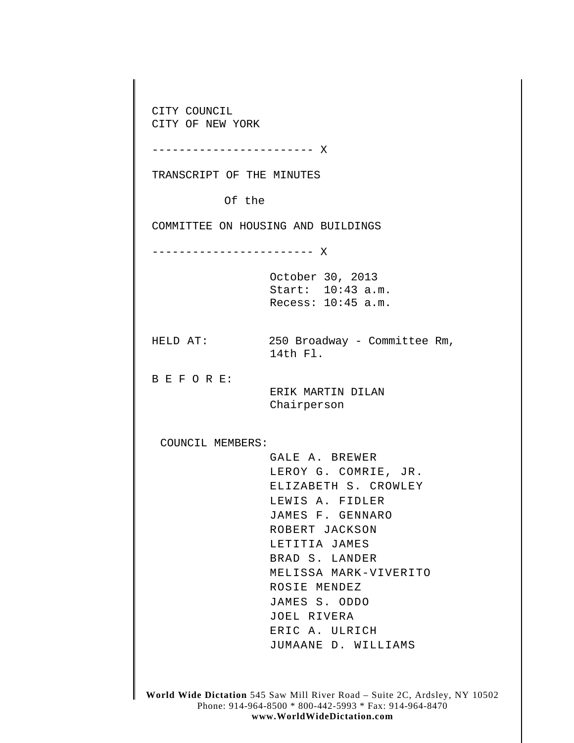CITY COUNCIL CITY OF NEW YORK ------------------------ X TRANSCRIPT OF THE MINUTES Of the COMMITTEE ON HOUSING AND BUILDINGS ------------------------ X October 30, 2013 Start: 10:43 a.m. Recess: 10:45 a.m. HELD AT: 250 Broadway - Committee Rm, 14th Fl. B E F O R E: ERIK MARTIN DILAN Chairperson COUNCIL MEMBERS: GALE A. BREWER LEROY G. COMRIE, JR. ELIZABETH S. CROWLEY LEWIS A. FIDLER JAMES F. GENNARO ROBERT JACKSON LETITIA JAMES BRAD S. LANDER MELISSA MARK-VIVERITO ROSIE MENDEZ JAMES S. ODDO JOEL RIVERA ERIC A. ULRICH JUMAANE D. WILLIAMS

**World Wide Dictation** 545 Saw Mill River Road – Suite 2C, Ardsley, NY 10502 Phone: 914-964-8500 \* 800-442-5993 \* Fax: 914-964-8470 **www.WorldWideDictation.com**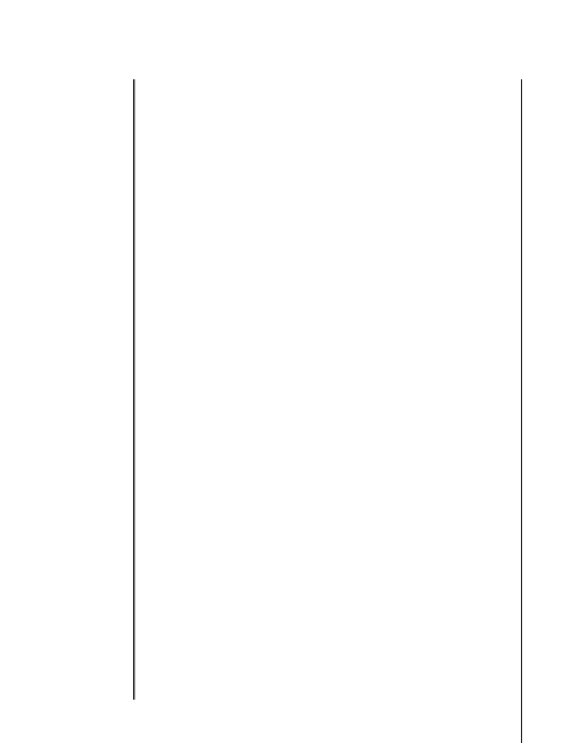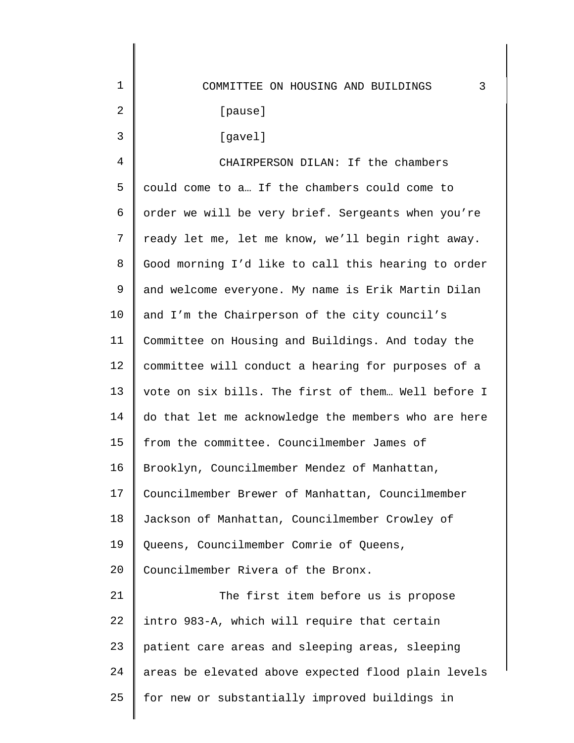1

2

3

[pause]

[gavel]

4 5 6 7 8 9 10 11 12 13 14 15 16 17 18 19  $20^{\circ}$ 21 22 23 24 25 CHAIRPERSON DILAN: If the chambers could come to a… If the chambers could come to order we will be very brief. Sergeants when you're ready let me, let me know, we'll begin right away. Good morning I'd like to call this hearing to order and welcome everyone. My name is Erik Martin Dilan and I'm the Chairperson of the city council's Committee on Housing and Buildings. And today the committee will conduct a hearing for purposes of a vote on six bills. The first of them… Well before I do that let me acknowledge the members who are here from the committee. Councilmember James of Brooklyn, Councilmember Mendez of Manhattan, Councilmember Brewer of Manhattan, Councilmember Jackson of Manhattan, Councilmember Crowley of Queens, Councilmember Comrie of Queens, Councilmember Rivera of the Bronx. The first item before us is propose intro 983-A, which will require that certain patient care areas and sleeping areas, sleeping areas be elevated above expected flood plain levels for new or substantially improved buildings in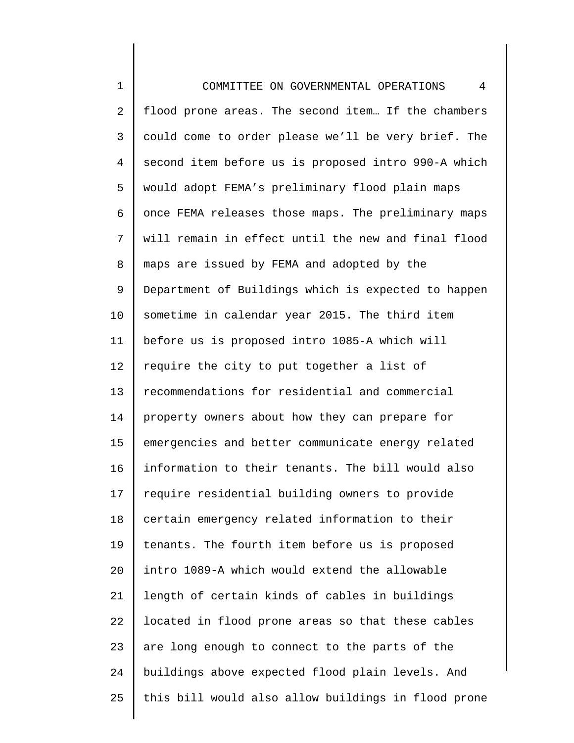1 2 3 4 5 6 7 8 9 10 11 12 13 14 15 16 17 18 19  $20^{\circ}$ 21 22 23 24 25 COMMITTEE ON GOVERNMENTAL OPERATIONS 4 flood prone areas. The second item… If the chambers could come to order please we'll be very brief. The second item before us is proposed intro 990-A which would adopt FEMA's preliminary flood plain maps once FEMA releases those maps. The preliminary maps will remain in effect until the new and final flood maps are issued by FEMA and adopted by the Department of Buildings which is expected to happen sometime in calendar year 2015. The third item before us is proposed intro 1085-A which will require the city to put together a list of recommendations for residential and commercial property owners about how they can prepare for emergencies and better communicate energy related information to their tenants. The bill would also require residential building owners to provide certain emergency related information to their tenants. The fourth item before us is proposed intro 1089-A which would extend the allowable length of certain kinds of cables in buildings located in flood prone areas so that these cables are long enough to connect to the parts of the buildings above expected flood plain levels. And this bill would also allow buildings in flood prone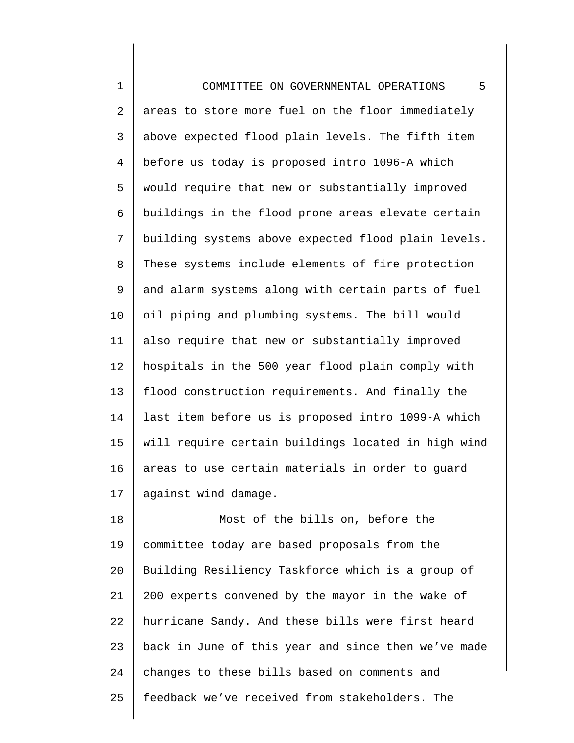1 2 3 4 5 6 7 8 9 10 11 12 13 14 15 16 17 18 COMMITTEE ON GOVERNMENTAL OPERATIONS 5 areas to store more fuel on the floor immediately above expected flood plain levels. The fifth item before us today is proposed intro 1096-A which would require that new or substantially improved buildings in the flood prone areas elevate certain building systems above expected flood plain levels. These systems include elements of fire protection and alarm systems along with certain parts of fuel oil piping and plumbing systems. The bill would also require that new or substantially improved hospitals in the 500 year flood plain comply with flood construction requirements. And finally the last item before us is proposed intro 1099-A which will require certain buildings located in high wind areas to use certain materials in order to guard against wind damage. Most of the bills on, before the

19 20 21 22 23 24 25 committee today are based proposals from the Building Resiliency Taskforce which is a group of 200 experts convened by the mayor in the wake of hurricane Sandy. And these bills were first heard back in June of this year and since then we've made changes to these bills based on comments and feedback we've received from stakeholders. The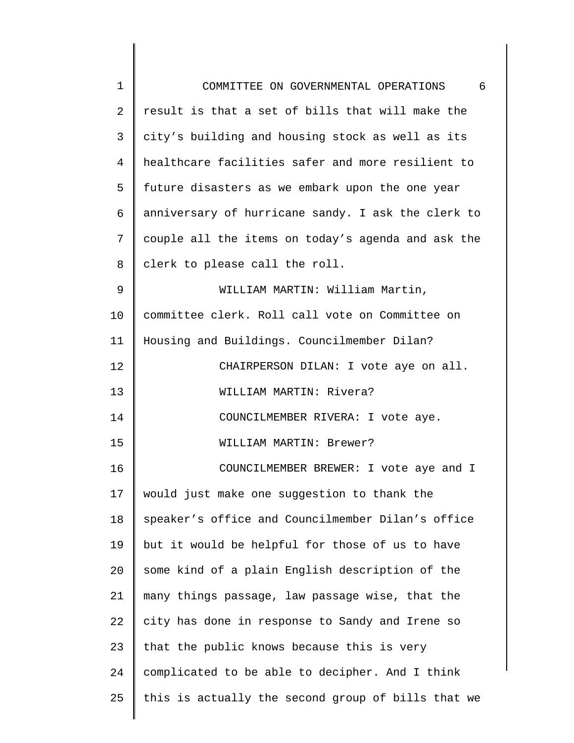| 1  | 6<br>COMMITTEE ON GOVERNMENTAL OPERATIONS          |
|----|----------------------------------------------------|
| 2  | result is that a set of bills that will make the   |
| 3  | city's building and housing stock as well as its   |
| 4  | healthcare facilities safer and more resilient to  |
| 5  | future disasters as we embark upon the one year    |
| 6  | anniversary of hurricane sandy. I ask the clerk to |
| 7  | couple all the items on today's agenda and ask the |
| 8  | clerk to please call the roll.                     |
| 9  | WILLIAM MARTIN: William Martin,                    |
| 10 | committee clerk. Roll call vote on Committee on    |
| 11 | Housing and Buildings. Councilmember Dilan?        |
| 12 | CHAIRPERSON DILAN: I vote aye on all.              |
| 13 | WILLIAM MARTIN: Rivera?                            |
| 14 | COUNCILMEMBER RIVERA: I vote aye.                  |
| 15 | WILLIAM MARTIN: Brewer?                            |
| 16 | COUNCILMEMBER BREWER: I vote aye and I             |
| 17 | would just make one suggestion to thank the        |
| 18 | speaker's office and Councilmember Dilan's office  |
| 19 | but it would be helpful for those of us to have    |
| 20 | some kind of a plain English description of the    |
| 21 | many things passage, law passage wise, that the    |
| 22 | city has done in response to Sandy and Irene so    |
| 23 | that the public knows because this is very         |
| 24 | complicated to be able to decipher. And I think    |
| 25 | this is actually the second group of bills that we |
|    |                                                    |

 $\Big\}$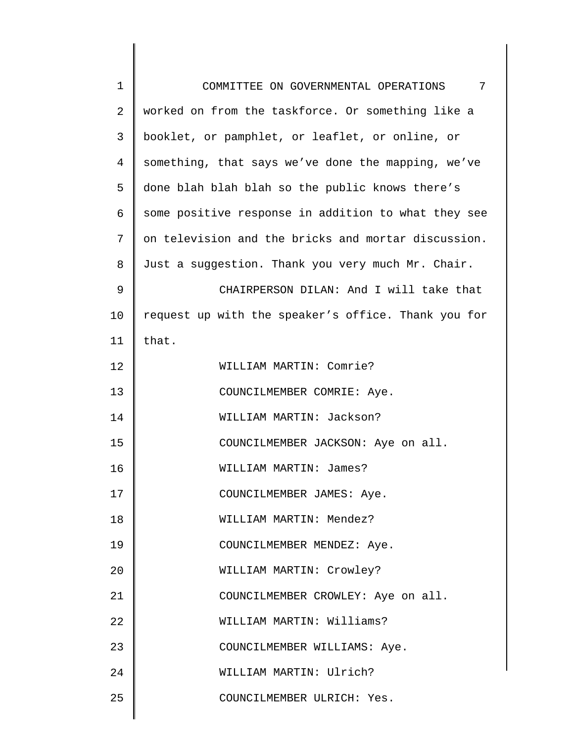| 1  | 7<br>COMMITTEE ON GOVERNMENTAL OPERATIONS           |
|----|-----------------------------------------------------|
| 2  | worked on from the taskforce. Or something like a   |
| 3  | booklet, or pamphlet, or leaflet, or online, or     |
| 4  | something, that says we've done the mapping, we've  |
| 5  | done blah blah blah so the public knows there's     |
| 6  | some positive response in addition to what they see |
| 7  | on television and the bricks and mortar discussion. |
| 8  | Just a suggestion. Thank you very much Mr. Chair.   |
| 9  | CHAIRPERSON DILAN: And I will take that             |
| 10 | request up with the speaker's office. Thank you for |
| 11 | that.                                               |
| 12 | WILLIAM MARTIN: Comrie?                             |
| 13 | COUNCILMEMBER COMRIE: Aye.                          |
| 14 | WILLIAM MARTIN: Jackson?                            |
| 15 | COUNCILMEMBER JACKSON: Aye on all.                  |
| 16 | WILLIAM MARTIN: James?                              |
| 17 | COUNCILMEMBER JAMES: Aye.                           |
| 18 | WILLIAM MARTIN: Mendez?                             |
| 19 | COUNCILMEMBER MENDEZ: Aye.                          |
| 20 | WILLIAM MARTIN: Crowley?                            |
| 21 | COUNCILMEMBER CROWLEY: Aye on all.                  |
| 22 | WILLIAM MARTIN: Williams?                           |
| 23 | COUNCILMEMBER WILLIAMS: Aye.                        |
| 24 | WILLIAM MARTIN: Ulrich?                             |
| 25 | COUNCILMEMBER ULRICH: Yes.                          |
|    |                                                     |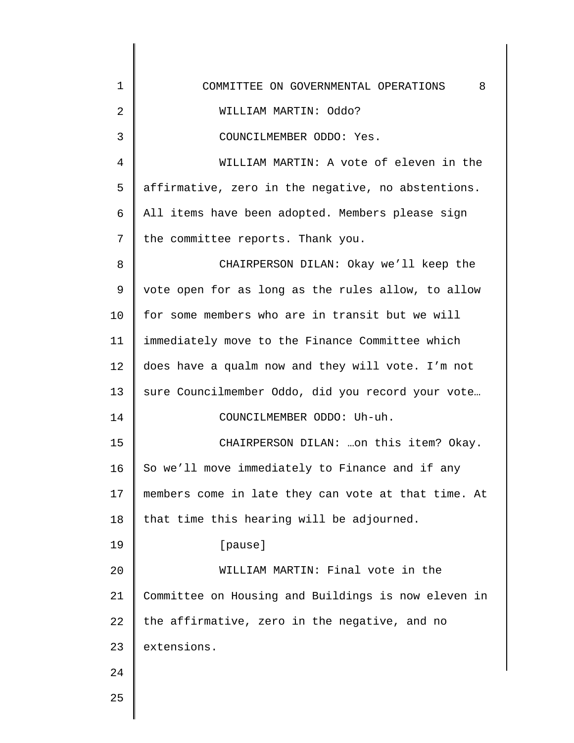| 1  | COMMITTEE ON GOVERNMENTAL OPERATIONS<br>8           |
|----|-----------------------------------------------------|
| 2  | WILLIAM MARTIN: Oddo?                               |
| 3  | COUNCILMEMBER ODDO: Yes.                            |
| 4  | WILLIAM MARTIN: A vote of eleven in the             |
| 5  | affirmative, zero in the negative, no abstentions.  |
| 6  | All items have been adopted. Members please sign    |
| 7  | the committee reports. Thank you.                   |
| 8  | CHAIRPERSON DILAN: Okay we'll keep the              |
| 9  | vote open for as long as the rules allow, to allow  |
| 10 | for some members who are in transit but we will     |
| 11 | immediately move to the Finance Committee which     |
| 12 | does have a qualm now and they will vote. I'm not   |
| 13 | sure Councilmember Oddo, did you record your vote   |
| 14 | COUNCILMEMBER ODDO: Uh-uh.                          |
| 15 | CHAIRPERSON DILAN: on this item? Okay.              |
| 16 | So we'll move immediately to Finance and if any     |
| 17 | members come in late they can vote at that time. At |
| 18 | that time this hearing will be adjourned.           |
| 19 | [pause]                                             |
| 20 | WILLIAM MARTIN: Final vote in the                   |
| 21 | Committee on Housing and Buildings is now eleven in |
| 22 | the affirmative, zero in the negative, and no       |
| 23 | extensions.                                         |
| 24 |                                                     |
| 25 |                                                     |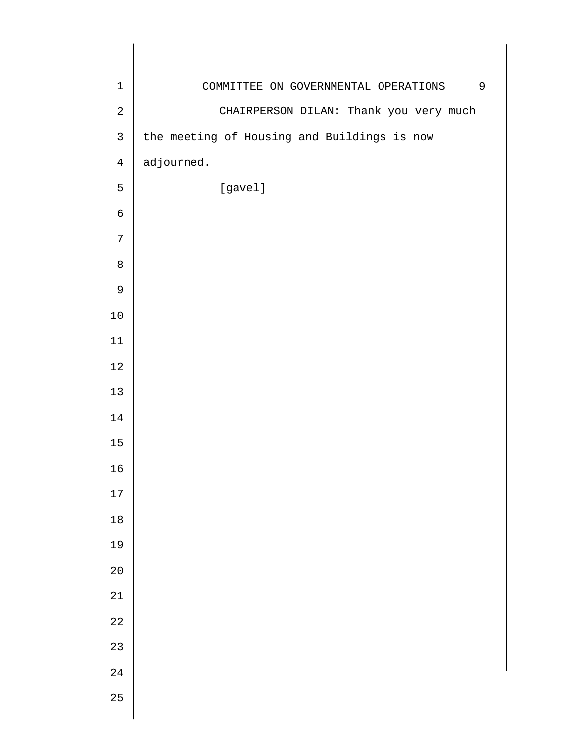| $\mathbf 1$    | COMMITTEE ON GOVERNMENTAL OPERATIONS<br>9   |
|----------------|---------------------------------------------|
| $\sqrt{2}$     | CHAIRPERSON DILAN: Thank you very much      |
| $\mathsf{3}$   | the meeting of Housing and Buildings is now |
| $\overline{4}$ | adjourned.                                  |
| 5              | [gavel]                                     |
| $\epsilon$     |                                             |
| 7              |                                             |
| 8              |                                             |
| $\mathsf 9$    |                                             |
| $10\,$         |                                             |
| $11$           |                                             |
| $1\,2$         |                                             |
| 13             |                                             |
| $14$           |                                             |
| $15$           |                                             |
| 16             |                                             |
| $17\,$         |                                             |
| $18\,$         |                                             |
| 19             |                                             |
| $2\,0$         |                                             |
| $2\sqrt{1}$    |                                             |
| $2\sqrt{2}$    |                                             |
| 23             |                                             |
| $2\sqrt{4}$    |                                             |
| 25             |                                             |